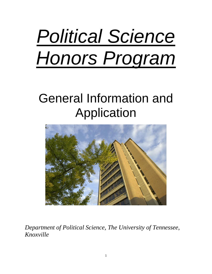# *Political Science Honors Program*

# General Information and Application



*Department of Political Science, The University of Tennessee, Knoxville*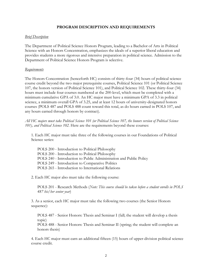# **PROGRAM DESCRIPTION AND REQUIREMENTS**

#### *Brief Description*

The Department of Political Science Honors Program, leading to a Bachelor of Arts in Political Science with an Honors Concentration, emphasizes the ideals of a superior liberal education and provides students a more rigorous and intensive preparation in political science. Admission to the Department of Political Science Honors Program is selective.

#### *Requirements*

The Honors Concentration (henceforth HC) consists of thirty-four (34) hours of political science course credit beyond the two major prerequisite courses, Political Science 101 (or Political Science 107, the honors version of Political Science 101), and Political Science 102. These thirty-four (34) hours must include four courses numbered at the 200-level, which must be completed with a minimum cumulative GPA of 3.0. An HC major must have a minimum GPA of 3.3 in political science, a minimum overall GPA of 3.25, and at least 12 hours of university-designated honors courses (POLS 487 and POLS 488 count toward this total, as do hours earned in POLS 107, and any hours earned through honors by contract).

*All HC majors must take Political Science 101 (or Political Science 107, the honors version of Political Science 101), and Political Science 102.* Here are the requirements beyond these courses:

1. Each HC major must take three of the following courses in our Foundations of Political Science series:

POLS 200 - Introduction to Political Philosophy POLS 200 - Introduction to Political Philosophy POLS 240 - Introduction to Public Administration and Public Policy POLS 249 - Introduction to Comparative Politics POLS 265 - Introduction to International Relations

2. Each HC major also must take the following course:

POLS 201 - Research Methods (*Note: This course should be taken before a student enrolls in POLS 487 his/her senior year*)

3. As a senior, each HC major must take the following two courses (the Senior Honors sequence):

POLS 487 - Senior Honors: Thesis and Seminar I (fall; the student will develop a thesis topic)

POLS 488 - Senior Honors: Thesis and Seminar II (spring; the student will complete an honors thesis)

4. Each HC major must earn an additional fifteen (15) hours of upper-division political science course credit.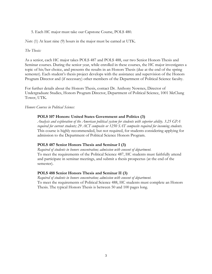5. Each HC major must take our Capstone Course, POLS 480.

*Note*: (1) At least nine (9) hours in the major must be earned at UTK.

#### *The Thesis:*

As a senior, each HC major takes POLS 487 and POLS 488, our two Senior Honors Thesis and Seminar courses. During the senior year, while enrolled in these courses, the HC major investigates a topic of his/her choice, and presents the results in an Honors Thesis (due at the end of the spring semester). Each student's thesis project develops with the assistance and supervision of the Honors Program Director and (if necessary) other members of the Department of Political Science faculty.

For further details about the Honors Thesis, contact Dr. Anthony Nownes, Director of Undergraduate Studies, Honors Program Director, Department of Political Science, 1001 McClung Tower, UTK.

*Honors Courses in Political Science:*

#### **POLS 107 Honors: United States Government and Politics (3)**

*Analysis and exploration of the American political system for students with superior ability. 3.25 GPA required for current students; 29 ACT composite or 1250 SAT composite required for incoming students.* This course is highly recommended, but not required, for students considering applying for admission to the Department of Political Science Honors Program.

## **POLS 487 Senior Honors Thesis and Seminar I (3)**

*Required of students in honors concentration; admission with consent of department.*  To meet the requirements of the Political Science 487, HC students must faithfully attend and participate in seminar meetings, and submit a thesis prospectus (at the end of the semester).

## **POLS 488 Senior Honors Thesis and Seminar II (3)**

*Required of students in honors concentration; admission with consent of department.* To meet the requirements of Political Science 488, HC students must complete an Honors Thesis. The typical Honors Thesis is between 50 and 100 pages long.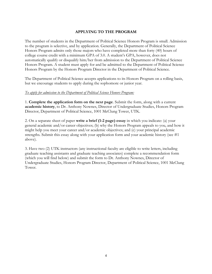# **APPLYING TO THE PROGRAM**

The number of students in the Department of Political Science Honors Program is small. Admission to the program is selective, and by application. Generally, the Department of Political Science Honors Program admits only those majors who have completed more than forty (40) hours of college course credit with a minimum GPA of 3.0. A student's GPA, however, does not automatically qualify or disqualify him/her from admission to the Department of Political Science Honors Program. A student must apply for and be admitted to the Department of Political Science Honors Program by the Honors Program Director in the Department of Political Science.

The Department of Political Science accepts applications to its Honors Program on a rolling basis, but we encourage students to apply during the sophomore or junior year.

#### *To apply for admission to the Department of Political Science Honors Program:*

1. **Complete the application form on the next page**. Submit the form, along with a current **academic history**, to Dr. Anthony Nownes, Director of Undergraduate Studies, Honors Program Director, Department of Political Science, 1001 McClung Tower, UTK.

2. On a separate sheet of paper **write a brief (1-2 page) essay** in which you indicate: (a) your general academic and/or career objectives; (b) why the Honors Program appeals to you, and how it might help you meet your career and/or academic objectives; and (c) your principal academic strengths. Submit this essay along with your application form and your academic history (see #1 above).

3. Have two (2) UTK instructors (any instructional faculty are eligible to write letters, including graduate teaching assistants and graduate teaching associates) complete a recommendation form (which you will find below) and submit the form to Dr. Anthony Nownes, Director of Undergraduate Studies, Honors Program Director, Department of Political Science, 1001 McClung Tower.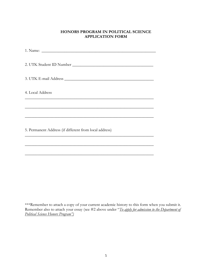## **HONORS PROGRAM IN POLITICAL SCIENCE APPLICATION FORM**

1. Name: \_\_\_\_\_\_\_\_\_\_\_\_\_\_\_\_\_\_\_\_\_\_\_\_\_\_\_\_\_\_\_\_\_\_\_\_\_\_\_\_\_\_\_\_\_\_\_\_\_\_\_\_\_\_\_ 2. UTK Student ID Number \_\_\_\_\_\_\_\_\_\_\_\_\_\_\_\_\_\_\_\_\_\_\_\_\_\_\_\_\_\_\_\_\_\_\_\_\_\_\_ 3. UTK E-mail Address \_\_\_\_\_\_\_\_\_\_\_\_\_\_\_\_\_\_\_\_\_\_\_\_\_\_\_\_\_\_\_\_\_\_\_\_\_\_\_\_\_\_\_ 4. Local Address \_\_\_\_\_\_\_\_\_\_\_\_\_\_\_\_\_\_\_\_\_\_\_\_\_\_\_\_\_\_\_\_\_\_\_\_\_\_\_\_\_\_\_\_\_\_\_\_\_\_\_\_\_\_\_\_\_\_\_\_\_\_ \_\_\_\_\_\_\_\_\_\_\_\_\_\_\_\_\_\_\_\_\_\_\_\_\_\_\_\_\_\_\_\_\_\_\_\_\_\_\_\_\_\_\_\_\_\_\_\_\_\_\_\_\_\_\_\_\_\_\_\_\_\_ \_\_\_\_\_\_\_\_\_\_\_\_\_\_\_\_\_\_\_\_\_\_\_\_\_\_\_\_\_\_\_\_\_\_\_\_\_\_\_\_\_\_\_\_\_\_\_\_\_\_\_\_\_\_\_\_\_\_\_\_\_\_ 5. Permanent Address (if different from local address) \_\_\_\_\_\_\_\_\_\_\_\_\_\_\_\_\_\_\_\_\_\_\_\_\_\_\_\_\_\_\_\_\_\_\_\_\_\_\_\_\_\_\_\_\_\_\_\_\_\_\_\_\_\_\_\_\_\_\_\_\_\_

\*\*\*Remember to attach a copy of your current academic history to this form when you submit it. Remember also to attach your essay (see #2 above under "*To apply for admission to the Department of Political Science Honors Program")*

\_\_\_\_\_\_\_\_\_\_\_\_\_\_\_\_\_\_\_\_\_\_\_\_\_\_\_\_\_\_\_\_\_\_\_\_\_\_\_\_\_\_\_\_\_\_\_\_\_\_\_\_\_\_\_\_\_\_\_\_\_\_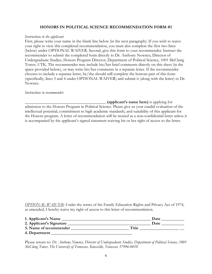#### **HONORS IN POLITICAL SCIENCE RECOMMENDATION FORM #1**

#### *Instructions to the applicant*:

First, please write your name in the blank line below (in the next paragraph). If you wish to waive your right to view this completed recommendation, you must also complete the first two lines (below) under OPTIONAL WAIVER. Second, give this form to your recommender. Instruct the recommender to submit the completed form directly to Dr. Anthony Nownes, Director of Undergraduate Studies, Honors Program Director, Department of Political Science, 1001 McClung Tower, UTK. The recommender may include his/her brief comments directly on this sheet (in the space provided below), or may write his/her comments in a separate letter. If the recommender chooses to include a separate letter, he/she should still complete the bottom part of this form (specifically, lines 3 and 4 under OPTIONAL WAIVER) and submit it (along with the letter) to Dr. Nownes.

#### *Instructions to recommender:*

**\_\_\_\_\_\_\_\_\_\_\_\_\_\_\_\_\_\_\_\_\_\_\_\_\_\_\_\_\_\_\_\_\_\_\_\_\_\_\_ (applicant's name here)** is applying for admission to the Honors Program in Political Science. Please give us your candid evaluation of the intellectual potential, commitment to high academic standards, and suitability of this applicant for the Honors program. A letter of recommendation will be treated as a non-confidential letter unless it is accompanied by the applicant's signed statement waiving his or her right of access to the letter.

*OPTIONAL WAIVER*: Under the terms of the Family Education Rights and Privacy Act of 1974, as amended, I hereby waive my right of access to this letter of recommendation.

| 1. Applicant's Name      | Date  |
|--------------------------|-------|
| 2. Applicant's Signature | Date  |
| 3. Name of recommender   | Title |
| 4. Department            |       |

Please return to: *Dr. Anthony Nownes, Director of Undergraduate Studies, Department of Political Science, 1001 McClung Tower, The University of Tennessee, Knoxville, Tennessee 37996-0410*